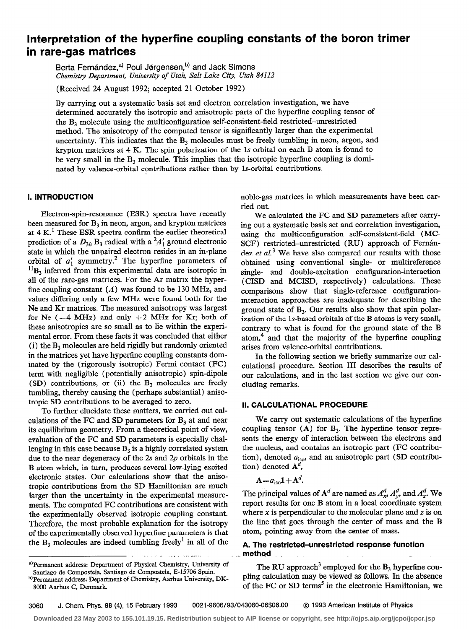# Interpretation of the hyperfine coupling constants of the boron trimer in rare-gas matrices

Berta Fernández,<sup>a,</sup> Poul Jørgensen,<sup>o,</sup> and Jack Simons Chemistry Department, University of Utah, Salt Lake City, Utah 84112

(Received 24 August 1992; accepted 21 October 1992)

By carrying out a systematic basis set and electron correlation investigation, we have determined accurately the isotropic and anisotropic parts of the hyperflne coupling tensor of the  $B_3$  molecule using the multiconfiguration self-consistent-field restricted-unrestricted method. The anisotropy of the computed tensor is significantly larger than the experimental uncertainty. This indicates that the  $B_3$  molecules must be freely tumbling in neon, argon, and krypton matrices at 4 K. The spin polarization of the 1s orbital on each B atom is found to be very small in the  $B_3$  molecule. This implies that the isotropic hyperfine coupling is dominated by valence-orbital contributions rather than by Is-orbital contributions.

### I. INTRODUCTION

Electron-spin-resonance (ESR) spectra have recently been measured for  $B_3$  in neon, argon, and krypton matrices at 4 K.' These ESR spectra confirm the earlier theoretical prediction of a  $D_{3h}$  B<sub>3</sub> radical with a <sup>2</sup>A'<sub>1</sub> ground electronic state in which the unpaired electron resides in an in-plane orbital of  $a_1$  symmetry. The hyperfine parameters of  ${}^{11}B_3$  inferred from this experimental data are isotropic in all of the rare-gas matrices. For the Ar matrix the hyperfine coupling constant  $(A)$  was found to be 130 MHz, and values differing only a few MHz were found both for the Ne and Kr matrices. The measured anisotropy was largest for Ne  $(-4 \text{ MHz})$  and only  $+2 \text{ MHz}$  for Kr; both of these anisotropies are so small as to lie within the experimental error. From these facts it was concluded that either (i) the  $B_3$  molecules are held rigidly but randomly oriented in the matrices yet have hyperfine coupling constants dominated by the (rigorously isotropic) Fermi contact (FC) term with negligible (potentially anisotropic) spin-dipole (SD) contributions, or (ii) the  $B_3$  molecules are freely tumbling, thereby causing the (perhaps substantial) anisotropic SD contributions to be averaged to zero.

To further elucidate these matters, we carried out calculations of the FC and SD parameters for  $B_3$  at and near its equilibrium geometry. From a theoretical point of view, evaluation of the FC and SD parameters is especially challenging in this case because  $B_3$  is a highly correlated system due to the near degeneracy of the 2s and 2p orbitals in the B atom which, in turn, produces several low-lying excited electronic states. Our calculations show that the anisotropic contributions from the SD Hamiltonian are much larger than the uncertainty in the experimental measurements. The computed FC contributions are consistent with the experimentally observed isotropic coupling constant. Therefore, the most probable explanation for the isotropy of the experimentally observed hyperfine parameters is that the  $B_3$  molecules are indeed tumbling freely<sup>1</sup> in all of the

\*)Permanent address: Department of Physical Chemistry, University of Santiago de Compostela, Santiago de Compostela, E-15706 Spain.

noble-gas matrices in which measurements have been carried out.

We calculated the FC and SD parameters after carrying out a systematic basis set and correlation investigation, using the multiconfiguration self-consistent-field (MC-SCF) restricted-unrestricted (RU) approach of Fernández et  $al<sup>3</sup>$  We have also compared our results with those obtained using conventional single- or multireference single- and double-excitation configuration-interaction (CISD and MCISD, respectively) calculations. These comparisons show that single-reference configurationinteraction approaches are inadequate for describing the ground state of  $B_3$ . Our results also show that spin polarization of the Is-based orbitals of the B atoms is very small, contrary to what is found for the ground state of the B atom, $<sup>4</sup>$  and that the majority of the hyperfine coupling</sup> arises from valence-orbital contributions.

In the following section we briefly summarize our calculational procedure. Section III describes the results of our calculations, and in the last section we give our concluding remarks.

### II. CALCULATIONAL PROCEDURE

We carry out systematic calculations of the hyperfine coupling tensor  $(A)$  for  $B_3$ . The hyperfine tensor represents the energy of interaction between the electrons and the nucleus, and contains an isotropic part (FC contribution), denoted  $a<sub>iso</sub>$ , and an anisotropic part (SD contribution) denoted  $A^d$ 

$$
A = a_{\rm iso} 1 + A^d.
$$

The principal values of  $A^d$  are named as  $A_x^d$ ,  $A_y^d$ , and  $A_z^d$ . We report results for one B atom in a local coordinate system where  $x$  is perpendicular to the molecular plane and  $z$  is on the line that goes through the center of mass and the B atom, pointing away from the center of mass.

# A. The restricted-unrestricted response function method

The RU approach<sup>3</sup> employed for the  $B_3$  hyperfine coupling calculation may be viewed as follows. In the absence of the FC or SD terms<sup>5</sup> in the electronic Hamiltonian, we

, .<br>, . مصر . . . . . . .

**Downloaded 23 May 2003 to 155.101.19.15. Redistribution subject to AIP license or copyright, see http://ojps.aip.org/jcpo/jcpcr.jsp**

b)Permanent address: Department of Chemistry, Aarhus University, DK-8000 Aarhus C, Denmark.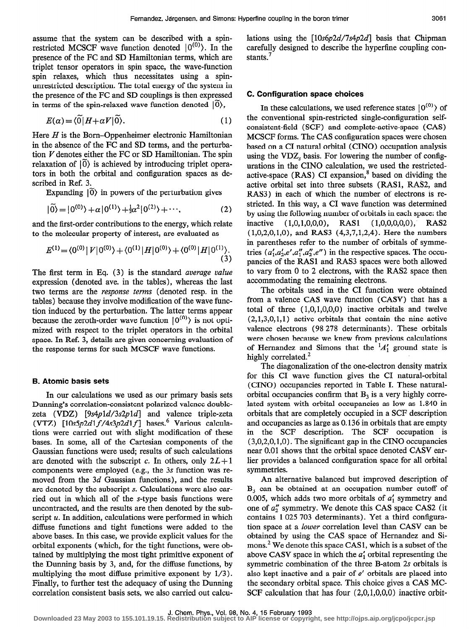assume that the system can be described with a spinrestricted MCSCF wave function denoted  $|0^{(0)}\rangle$ . In the presence of the FC and SD Hamiltonian terms, which are triplet tensor operators in spin space, the wave-function spin relaxes, which thus necessitates using a spinunrestricted description. The total energy of the system in the presence of the FC and SD couplings is then expressed in terms of the spin-relaxed wave function denoted  $|0\rangle$ ,

$$
E(\alpha) = \langle 0 | H + \alpha V | 0 \rangle. \tag{1}
$$

Here  $H$  is the Born-Oppenheimer electronic Hamiltonian in the absence of the FC and SD terms, and the perturbation  $V$  denotes either the FC or SD Hamiltonian. The spin relaxation of  $\overline{0}$ ) is achieved by introducing triplet operators in both the orbital and configuration spaces as described in Ref. 3.

Expanding  $|0\rangle$  in powers of the perturbation gives

$$
|0\rangle = |0^{(0)}\rangle + \alpha |0^{(1)}\rangle + \frac{1}{2}\alpha^2 |0^{(2)}\rangle + \cdots,
$$
 (2)

and the first-order contributions to the energy, which relate to the molecular property of interest, are evaluated as

$$
E^{(1)} = \langle 0^{(0)} | V | 0^{(0)} \rangle + \langle 0^{(1)} | H | 0^{(0)} \rangle + \langle 0^{(0)} | H | 0^{(1)} \rangle. \tag{3}
$$

The first term in Eq. (3) is the standard *average value* expression (denoted ave. in the tables), whereas the last two terms are the response terms (denoted resp. in the tables) because they involve modification of the wave function induced by the perturbation. The latter terms appear because the zeroth-order wave function  $|0^{(0)}\rangle$  is not optimized with respect to the triplet operators in the orbital space. In Ref. 3, details are given concerning evaluation of the response terms for such MCSCF wave functions.

### B. Atomic basis sets

In our calculations we used as our primary basis sets Dunning's correlation-consistent polarized valence doublezeta (VDZ) [9s4pld/3s2pld] and valence triple-zeta (VTZ)  $[10s5p2d1f/4s3p2d1f]$  bases.<sup>6</sup> Various calculations were carried out with slight modification of these bases. In some, all of the Cartesian components of the Gaussian functions were used; results of such calculations are denoted with the subscript c. In others, only  $2L+1$ components were employed (e.g., the 3s function was removed from the  $3d$  Gaussian functions), and the results are denoted by the subscript s. Calculations were also carried out in which all of the s-type basis functions were uncontracted, and the results are then denoted by the subscript  $u$ . In addition, calculations were performed in which diffuse functions and tight functions were added to the above bases. In this case, we provide explicit values for the orbital exponents (which, for the tight functions, were obtained by multiplying the most tight primitive exponent of the Dunning basis by 3, and, for the diffuse functions, by multiplying the most diffuse primitive exponent by  $1/3$ ). Finally, to further test the adequacy of using the Dunning correlation consistent basis sets, we also carried out calcu-

lations using the  $[10s6p2d/7s4p2d]$  basis that Chipman carefully designed to describe the hyperfine coupling constants.<sup>7</sup>

### C. Configuration space choices

In these calculations, we used reference states  $|0^{(0)}\rangle$  of the conventional spin-restricted single-configuration selfconsistent-field (SCF) and complete-active-space (CAS) MCSCF forms. The CAS configuration spaces were chosen based on a CI natural orbital (CINO) occupation analysis using the  $VDZ<sub>s</sub>$  basis. For lowering the number of configurations in the CINO calculation, we used the restrictedactive-space (RAS) CI expansion, $<sup>8</sup>$  based on dividing the</sup> active orbital set into three subsets (RASl, RAS2, and RAS3) in each of which the number of electrons is restricted. In this way, a CI wave function was determined by using the following number of orbitals in each space: the inactive (1,0,1,0,0,0), RAS1 (1,0,0,0,0,0), RAS2 (1,0,2,0,1,0), and RAS3 (4,3,7,1,2,4). Here the numbers in parentheses refer to the number of orbitals of symmetries  $(a'_1, a'_2, e', a''_1, a''_2, e'')$  in the respective spaces. The occupancies of the RASl and RAS3 spaces were both allowed to vary from 0 to 2 electrons, with the RAS2 space then accommodating the remaining electrons.

The orbitals used in the CI function were obtained from a valence CAS wave function (CASV) that has a total of three  $(1,0,1,0,0,0)$  inactive orbitals and twelve  $(2, 1, 3, 0, 1, 1)$  active orbitals that contain the nine active valence electrons (98 278 determinants). These orbitals were chosen because we knew from previous calculations of Hernandez and Simons that the  $1/4'$  ground state is highly correlated.<sup>2</sup>

The diagonalization of the one-electron density matrix for this CI wave function gives the CI natural-orbital (CINO) occupancies reported in Table I. These naturalorbital occupancies confirm that  $B_3$  is a very highly correlated system with orbital occupancies as low as 1.840 in orbitals that are completely occupied in a SCF description and occupancies as large as 0.136 in orbitals that are empty in the SCF description. The SCF occupation is (3,0,2,0,1,0). The significant gap in the CINO occupancies near 0.01 shows that the orbital space denoted CASV earlier provides a balanced configuration space for all orbital symmetries.

An alternative balanced but improved description of  $B<sub>3</sub>$  can be obtained at an occupation number cutoff of 0.005, which adds two more orbitals of  $a'_1$  symmetry and one of  $a_2''$  symmetry. We denote this CAS space CAS2 (it contains 1 025 703 determinants). Yet a third configuration space at a lower correlation level than CASV can be obtained by using the CAS space of Hernandez and Simons.<sup>2</sup> We denote this space CAS1, which is a subset of the above CASV space in which the  $a'_1$  orbital representing the symmetric combination of the three B-atom 2s orbitals is also kept inactive and a pair of e' orbitals are placed into the secondary orbital space. This choice gives a CAS MC-SCF calculation that has four  $(2,0,1,0,0,0)$  inactive orbit-

J. Chem. Phys., Vol. 98, No. 4, 15 February 1993 **Downloaded 23 May 2003 to 155.101.19.15. Redistribution subject to AIP license or copyright, see http://ojps.aip.org/jcpo/jcpcr.jsp**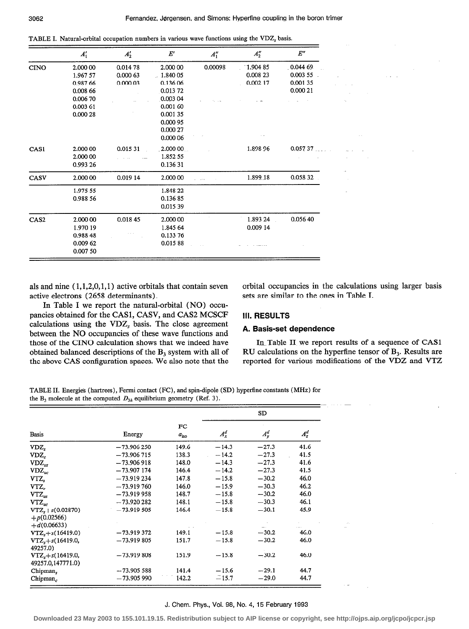TABLE I. Natural-orbital occupation numbers in various wave functions using the VDZ, basis.

|                  | $A'_1$   | $A'_2$   | $E^\prime$ | $A_1''$ | $A_2''$    | E''      |
|------------------|----------|----------|------------|---------|------------|----------|
| <b>CINO</b>      | 2.000 00 | 0.014 78 | 2.000 00   | 0.00098 | $-1.90485$ | 0.044 69 |
|                  | 1.967 57 | 0.000 63 | $-1.84005$ |         | 0.008 23   | 0.003 55 |
|                  | 0.987 66 | 0.000.03 | 0.136 06   |         | 0.002 17   | 0.00135  |
|                  | 0.008 66 |          | 0.01372    |         |            | 0.000 21 |
|                  | 0.006 70 |          | 0.003 04   |         |            |          |
|                  | 0.003 61 |          | 0.001 60   |         |            |          |
|                  | 0.000 28 |          | 0.00135    |         |            |          |
|                  |          |          | 0.000 95   |         |            |          |
|                  |          |          | 0.000 27   |         |            |          |
|                  |          |          | 0.000 06   |         |            |          |
| CAS1             | 2,000 00 | 0.015 31 | 2.000 00   |         | 1.898 96   | 0.057 37 |
|                  | 2.000 00 |          | 1.852 55   |         |            |          |
|                  | 0.993 26 |          | 0.13631    |         |            |          |
| CASV             | 2.000 00 | 0.019 14 | 2.000 00   |         | 1.899.18   | 0.058 32 |
|                  | 1.975 55 |          | 1.848 22   |         |            |          |
|                  | 0.988 56 |          | 0.13685    |         |            |          |
|                  |          |          | 0.015 39   |         |            |          |
| CAS <sub>2</sub> | 2.000 00 | 0.01845  | 2.000 00   |         | 1.893 24   | 0.056 40 |
|                  | 1.970 19 |          | 1.845 64   |         | 0.009 14   |          |
|                  | 0.988 48 |          | 0.133 76   |         |            |          |
|                  | 0.009 62 |          | 0.01588    |         |            |          |
|                  | 0.007 50 |          |            |         |            |          |

als and nine  $(1, 1, 2, 0, 1, 1)$  active orbitals that contain seven active electrons (2658 determinants).

In Table I we report the natural-orbital (NO) occupancies obtained for the CASl, CASV, and CAS2 MCSCF calculations using the  $VDZ_s$  basis. The close agreement between the NO occupancies of these wave functions and  $\blacksquare$  A. Basis-set dependence those of the CINO calculation shows that we indeed have InTable II we report results of a sequence of CAS1

orbital occupancies in the calculations using larger basis sets are similar to the ones in Table I.

# III. RESULTS

obtained balanced descriptions of the  $B_3$  system with all of RU calculations on the hyperfine tensor of  $B_3$ . Results are the above CAS configuration spaces. We also note that the reported for various modifications of the VDZ and VTZ

TABLE II. Energies (hartrees), Fermi contact (FC), and spin-dipole (SD) hyperfine constants (MHz) for the  $B_3$  molecule at the computed  $D_{3h}$  equilibrium geometry (Ref. 3).

|                                                            |               |                     | <b>SD</b> |         |         |  |  |  |
|------------------------------------------------------------|---------------|---------------------|-----------|---------|---------|--|--|--|
| <b>Basis</b>                                               | Energy        | FC<br>$a_{\rm iso}$ | $A_x^d$   | $A_y^d$ | $A_z^d$ |  |  |  |
| VDZ.                                                       | $-73.906250$  | 149.6               | $-14.3$   | $-27.3$ | 41.6    |  |  |  |
| $VDZ_c$                                                    | $-73.906715$  | 138.3               | $-14.2$   | $-27.3$ | 41.5    |  |  |  |
| $VDZ_{us}$                                                 | $-73.906918$  | 148.0               | $-14.3$   | $-27.3$ | 41.6    |  |  |  |
| $VDZ_{uc}$                                                 | $-73.907$ 174 | 146.4               | $-14.2$   | $-27.3$ | 41.5    |  |  |  |
| VTZ,                                                       | $-73.919234$  | 147.8               | $-15.8$   | $-30.2$ | 46.0    |  |  |  |
| $VTZ_c$                                                    | $-73.919760$  | 146.0               | $-15.9$   | $-30.3$ | 46.2    |  |  |  |
| $VTZ_{us}$                                                 | $-73.919958$  | 148.7               | $-15.8$   | $-30.2$ | 46.0    |  |  |  |
| $VTZ_{uc}$                                                 | $-73.920282$  | 148.1               | $-15.8$   | $-30.3$ | 46.1    |  |  |  |
| $VTZ_{s} + s(0.02870)$<br>$+ p(0.02566)$<br>$+ d(0.06633)$ | $-73.919505$  | 146.4               | $-15.8$   | $-30.1$ | 45.9    |  |  |  |
| $VTZ, +s(16419.0)$                                         | $-73.919372$  | 149.1               | $-15.8$   | $-30.2$ | 46.0    |  |  |  |
| $VTZ_*+s(16419.0,$<br>49257.0)                             | $-73.919805$  | 151.7               | $-15.8$   | $-30.2$ | 46.0    |  |  |  |
| $VTZ, +s(16419.0,$<br>49257.0,147771.0)                    | $-73.919808$  | 151.9               | $-15.8$   | $-30.2$ | 46.0    |  |  |  |
| Chipman <sub>s</sub>                                       | $-73.90558$   | 141.4               | $-15.6$   | $-29.1$ | 44.7    |  |  |  |
| Chipman.                                                   | $-73.905990$  | 142.2               | $-15.7$   | $-29.0$ | 44.7    |  |  |  |

### J. Chem. Phys., Vol. 98, No. 4, 15 February 1993

**Downloaded 23 May 2003 to 155.101.19.15. Redistribution subject to AIP license or copyright, see http://ojps.aip.org/jcpo/jcpcr.jsp**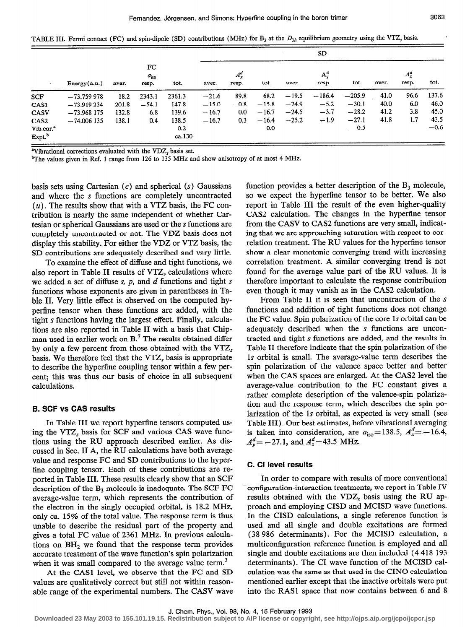TABLE III. Fermi contact (FC) and spin-dipole (SD) contributions (MHz) for  $B_3$  at the  $D_{3h}$  equilibrium geometry using the VTZ, basis.

|                       |               | aver. | FC<br>$a_{\rm iso}$<br>resp. |        |         |                  |         |         |                  |          |       |                  |        |
|-----------------------|---------------|-------|------------------------------|--------|---------|------------------|---------|---------|------------------|----------|-------|------------------|--------|
|                       | Energy(a.u.)  |       |                              | tot.   | aver.   | $A_x^d$<br>resp. | tot.    | aver.   | $A_v^d$<br>resp. | tot.     | aver. | $A_z^d$<br>resp. | tot.   |
| <b>SCF</b>            | $-73.759978$  | 18.2  | 2343.1                       | 2361.3 | $-21.6$ | 89.8             | 68.2    | $-19.5$ | $-186.4$         | $-205.9$ | 41.0  | 96.6             | 137.6  |
| CAS1                  | $-73.919234$  | 201.8 | $-54.1$                      | 147.8  | $-15.0$ | $-0.8$           | $-15.8$ | $-24.9$ | $-5.2$           | $-30.1$  | 40.0  | 6.0              | 46.0   |
| CASV                  | $-73.968$ 175 | 132.8 | 6.8                          | 139.6  | $-16.7$ | $0.0\,$          | $-16.7$ | $-24.5$ | $-3.7$           | $-28.2$  | 41.2  | 3.8              | 45.0   |
| CAS <sub>2</sub>      | $-74,006$ 135 | 138.1 | 0.4                          | 138.5  | $-16.7$ | 0.3              | $-16.4$ | $-25.2$ | $-1.9$           | $-27.1$  | 41.8  | 1.7              | 43.5   |
| Vib.cor. <sup>2</sup> |               |       |                              | 0.2    |         |                  | 0.0     |         |                  | 0.5      |       |                  | $-0.6$ |
| Expt. <sup>b</sup>    |               |       |                              | ca.130 |         |                  |         |         |                  |          |       |                  |        |

"Vibrational corrections evaluated with the VDZ, basis set.

<sup>b</sup>The values given in Ref. 1 range from 126 to 135 MHz and show anisotropy of at most 4 MHz.

basis sets using Cartesian  $(c)$  and spherical  $(s)$  Gaussians and where the s functions are completely uncontracted  $(u)$ . The results show that with a VTZ basis, the FC contribution is nearly the same independent of whether Cartesian or spherical Gaussians are used or the s functions are completely uncontracted or not. The VDZ basis does not display this stability. For either the VDZ or VTZ basis, the SD contributions are adequately described and vary little.

To examine the effect of diffuse and tight functions, we also report in Table II results of VTZ, calculations where we added a set of diffuse  $s$ ,  $p$ , and  $d$  functions and tight  $s$ functions whose exponents are given in parentheses in Table II. Very little effect is observed on the computed hyperfine tensor when these functions are added, with the tight s functions having the largest effect. Finally, calculations are also reported in Table II with a basis that Chipman used in earlier work on B.' The results obtained differ by only a few percent from those obtained with the VTZ, basis. We therefore feel that the VTZ, basis is appropriate to describe the hyperfine coupling tensor within a few percent; this was thus our basis of choice in all subsequent calculations.

### B. SCF vs CAS results

In Table III we report hyperfine tensors computed using the VTZ, basis for SCF and various CAS wave functions using the RU approach described earlier. As discussed in Sec. II A, the RU calculations have both average value and response FC and SD contributions to the hyperfine coupling tensor. Each of these contributions are reported in Table III. These results clearly show that an SCF description of the  $B_3$  molecule is inadequate. The SCF FC average-value term, which represents the contribution of the electron in the singly occupied orbital, is 18.2 MHz, only ca. 15% of the total value. The response term is thus unable to describe the residual part of the property and gives a total FC value of 2361 MHz. In previous calculations on  $BH<sub>2</sub>$  we found that the response term provides accurate treatment of the wave function's spin polarization when it was small compared to the average value term.<sup>3</sup>

At the CASl level, we observe that the FC and SD values are qualitatively correct but still not within reasonable range of the experimental numbers. The CASV wave function provides a better description of the  $B_3$  molecule, so we expect the hyperfine tensor to be better. We also report in Table III the result of the even higher-quality CAS2 calculation. The changes in the hyperfine tensor from the CASV to CAS2 functions are very small, indicating that we are approaching saturation with respect to correlation treatment. The RU values for the hypertine tensor show a clear monotonic converging trend with increasing correlation treatment. A similar converging trend is not found for the average value part of the RU values. It is therefore important to calculate the response contribution even though it may vanish as in the CAS2 calculation.

From Table II it is seen that uncontraction of the  $s$ functions and addition of tight functions does not change the FC value. Spin polarization of the core 1s orbital can be adequately described when the s functions are uncontracted and tight s functions are added, and the results in Table II therefore indicate that the spin polarization of the 1s orbital is small. The average-value term describes the spin polarization of the valence space better and better when the CAS spaces are enlarged. At the CAS2 level the average-value contribution to the FC constant gives a rather complete description of the valence-spin polarization and the response term, which describes the spin polarization of the 1s orbital, as expected is very small (see Table III). Our best estimates, before vibrational averaging is taken into consideration, are  $a_{\text{iso}} = 138.5$ ,  $A_x^d = -16.4$ ,  $A_v^d = -27.1$ , and  $A_z^d = 43.5$  MHz.

### C. Cl level results

In order to compare with results of more conventional configuration-interaction treatments, we report in Table IV results obtained with the  $VDZ<sub>s</sub>$  basis using the RU approach and employing CISD and MCISD wave functions. In the CISD calculations, a single reference function is used and all single and double excitations are formed (38 986 determinants). For the MCISD calculation, a multiconfiguration reference function is employed and all single and double excitations are then included (4 418 193 determinants). The CI wave function of the MCISD calculation was the same as that used in the CINO calculation mentioned earlier except that the inactive orbitals were put into the RASl space that now contains between 6 and 8

**Downloaded 23 May 2003 to 155.101.19.15. Redistribution subject to AIP license or copyright, see http://ojps.aip.org/jcpo/jcpcr.jsp**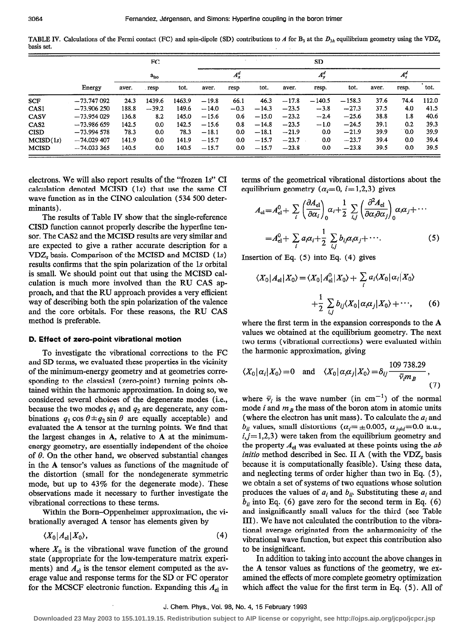TABLE IV. Calculations of the Fermi contact (FC) and spin-dipole (SD) contributions to A for B<sub>3</sub> at the  $D_{3h}$  equilibrium geometry using the VDZ<sub>s</sub> basis set.

|                  |               |               | FC.     |        |         |        | and the state |         | <b>SD</b>        |          |         |       |       |
|------------------|---------------|---------------|---------|--------|---------|--------|---------------|---------|------------------|----------|---------|-------|-------|
|                  | Energy        | $a_{\rm iso}$ |         |        | $A_x^a$ |        |               | $A_y^d$ |                  |          | $A_z^d$ |       |       |
|                  |               | aver.         | resp    | tot.   | aver.   | resp   | tot.          | aver.   | resp.            | tot.     | aver.   | resp. | tot.  |
| <b>SCF</b>       | $-73.747092$  | 24.3          | 1439.6  | 1463.9 | $-19.8$ | 66.1   | 46.3          | $-17.8$ | $-140.5$         | $-158.3$ | 37.6    | 74.4  | 112.0 |
| CAS1             | $-73.906250$  | 188.8         | $-39.2$ | 149.6  | $-14.0$ | $-0.3$ | $-14.3$       | $-23.5$ | $-3.8$           | $-27.3$  | 37.5    | 4.0   | 41.5  |
| CASV             | $-73.954029$  | 136.8         | 8.2     | 145.0  | $-15.6$ | 0.6    | $-15.0$       | $-23.2$ | $-2.4$           | $-25.6$  | 38.8    | 1.8   | 40.6  |
| CAS <sub>2</sub> | $-73.986659$  | 142.5         | 0.0     | 142.5  | $-15.6$ | 0.8    | $-14.8$       | $-23.5$ | $-1.0$           | $-24.5$  | 39.1    | 0.2   | 39.3  |
| <b>CISD</b>      | $-73.994578$  | 78.3          | 0.0     | 78.3   | $-18.1$ | 0.0    | $-18.1$       | $-21.9$ | 0.0 <sub>1</sub> | $-21.9$  | 39.9    | 0.0   | 39.9  |
| MCISD(1s)        | $-74.029$ 407 | 141.9         | 0.0     | 141.9  | $-15.7$ | 0.0    | $-15.7$       | $-23.7$ | 0.0 <sub>1</sub> | $-23.7$  | 39.4    | 0.0   | 39.4  |
| <b>MCISD</b>     | $-74.033365$  | 140.5         | 0.0     | 140.5  | $-15.7$ | 0.0    | $-15.7$       | $-23.8$ | 0.0              | $-23.8$  | 39.5    | 0.0   | 39.5  |

electrons. We will also report results of the "frozen 1s" CI calculation denoted MCISD (1s) that use the same CI wave function as in the CINO calculation (534 500 determinants).

The results of Table IV show that the single-reference CISD function cannot properly describe the hyperfine tensor. The CAS2 and the MCISD results are very similar and are expected to give a rather accurate description for a VDZ<sub>s</sub> basis. Comparison of the MCISD and MCISD (1s) results confirms that the spin polarization of the 1s orbital is small. We should point out that using the MCISD calculation is much more involved than the RU CAS approach, and that the RU approach provides a very efficient way of describing both the spin polarization of the valence and the core orbitals. For these reasons, the RU CAS method is preferable.

### D. Effect of zero-point vibrational motion

To investigate the vibrational corrections to the FC and SD terms, we evaluated these properties in the vicinity of the minimum-energy geometry and at geometries corresponding to the classical (zero-point) turning points obtained within the harmonic approximation. In doing so, we considered several choices of the degenerate modes (i.e., because the two modes  $q_1$  and  $q_2$  are degenerate, any combinations  $q_1 \cos \theta \pm q_2 \sin \theta$  are equally acceptable) and evaluated the A tensor at the turning points. We find that the largest changes in  $A$ , relative to  $A$  at the minimumenergy geometry, are essentially independent of the choice of  $\theta$ . On the other hand, we observed substantial changes in the A tensor's values as functions of the magnitude of the distortion (small for the nondegenerate symmetric mode, but up to 43% for the degenerate mode). These observations made it necessary to further investigate the vibrational corrections to these terms.

Within the Born-Oppenheimer approximation, the vibrationally averaged A tensor has elements given by

$$
\langle X_0 | A_{\rm el} | X_0 \rangle, \tag{4}
$$

where  $X_0$  is the vibrational wave function of the ground state (appropriate for the low-temperature matrix experiments) and  $A_{el}$  is the tensor element computed as the average value and response terms for the SD or FC operator for the MCSCF electronic function. Expanding this  $A_{el}$  in

terms of the geometrical vibrational distortions about the equilibrium geometry ( $\alpha_i = 0$ ,  $i = 1,2,3$ ) gives

$$
A_{\rm el} = A_{\rm el}^{0} + \sum_{i} \left( \frac{\partial A_{\rm el}}{\partial \alpha_{i}} \right)_{0} \alpha_{i} + \frac{1}{2} \sum_{i,j} \left( \frac{\partial^{2} A_{\rm el}}{\partial \alpha_{i} \partial \alpha_{j}} \right)_{0} \alpha_{i} \alpha_{j} + \cdots
$$

$$
= A_{\rm el}^{0} + \sum_{i} a_{i} \alpha_{i} + \frac{1}{2} \sum_{i,j} b_{ij} \alpha_{i} \alpha_{j} + \cdots. \tag{5}
$$

Insertion of Eq.  $(5)$  into Eq.  $(4)$  gives

$$
\langle X_0 | A_{\rm el} | X_0 \rangle = \langle X_0 | A_{\rm el}^0 | X_0 \rangle + \sum_i a_i \langle X_0 | \alpha_i | X_0 \rangle
$$

$$
+ \frac{1}{2} \sum_{i,j} b_{ij} \langle X_0 | \alpha_i \alpha_j | X_0 \rangle + \cdots, \qquad (6)
$$

where the first term in the expansion corresponds to the A values we obtained at the equilibrium geometry. The next two terms (vibrational corrections) were evaluated within the harmonic approximation, giving

$$
\langle X_0 | \alpha_i | X_0 \rangle = 0
$$
 and  $\langle X_0 | \alpha_i \alpha_j | X_0 \rangle = \delta_{ij} \frac{109\,738.29}{\overline{v}_i m_B}$ , (7)

where  $\bar{v}_i$  is the wave number (in cm<sup>-1</sup>) of the normal mode i and  $m_B$  the mass of the boron atom in atomic units (where the electron has unit mass). To calculate the  $a_i$  and  $b_{ii}$  values, small distortions ( $\alpha_i = \pm 0.005$ ,  $\alpha_{i \neq i} = 0.0$  a.u.,  $i, j=1,2,3$ ) were taken from the equilibrium geometry and the property  $A_{el}$  was evaluated at these points using the  $ab$ initio method described in Sec. II A (with the VDZ, basis because it is computationally feasible). Using these data, and neglecting terms of order higher than two in Eq. (5), we obtain a set of systems of two equations whose solution produces the values of  $a_i$  and  $b_{ii}$ . Substituting these  $a_i$  and  $b_{ii}$  into Eq. (6) gave zero for the second term in Eq. (6) and insignificantly small values for the third (see Table III). We have not calculated the contribution to the vibrational average originated from the anharmonicity of the vibrational wave function, but expect this contribution also to be insignificant.

In addition to taking into account the above changes in the A tensor values as functions of the geometry, we examined the effects of more complete geometry optimization which affect the value for the first term in Eq. (5). All of

Downloaded 23 May 2003 to 155.101.19.15. Redistribution subject to AIP license or copyright, see http://ojps.aip.org/jcpo/jcpcr.jsp